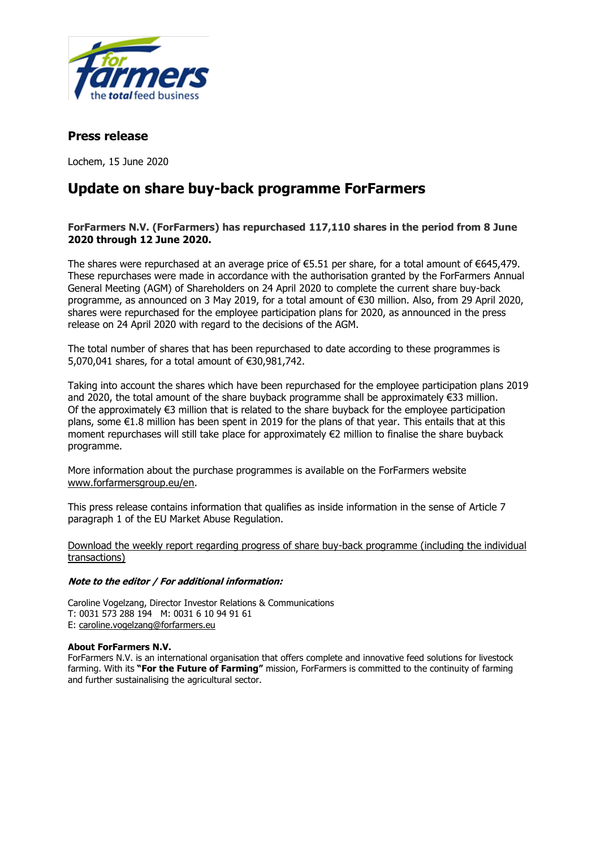

## **Press release**

Lochem, 15 June 2020

# **Update on share buy-back programme ForFarmers**

### **ForFarmers N.V. (ForFarmers) has repurchased 117,110 shares in the period from 8 June 2020 through 12 June 2020.**

The shares were repurchased at an average price of  $\epsilon$ 5.51 per share, for a total amount of  $\epsilon$ 645,479. These repurchases were made in accordance with the authorisation granted by the ForFarmers Annual General Meeting (AGM) of Shareholders on 24 April 2020 to complete the current share buy-back programme, as announced on 3 May 2019, for a total amount of €30 million. Also, from 29 April 2020, shares were repurchased for the employee participation plans for 2020, as announced in the press release on 24 April 2020 with regard to the decisions of the AGM.

The total number of shares that has been repurchased to date according to these programmes is 5,070,041 shares, for a total amount of €30,981,742.

Taking into account the shares which have been repurchased for the employee participation plans 2019 and 2020, the total amount of the share buyback programme shall be approximately €33 million. Of the approximately €3 million that is related to the share buyback for the employee participation plans, some €1.8 million has been spent in 2019 for the plans of that year. This entails that at this moment repurchases will still take place for approximately €2 million to finalise the share buyback programme.

More information about the purchase programmes is available on the ForFarmers website [www.forfarmersgroup.eu/en.](http://www.forfarmersgroup.eu/en)

This press release contains information that qualifies as inside information in the sense of Article 7 paragraph 1 of the EU Market Abuse Regulation.

[Download the weekly report regarding progress of share buy-back programme](https://www.globenewswire.com/Tracker?data=4TiMjpjdI5BJRhMwyrKeUpzKI6SvcK-7CPoR6GU8Mg0asNmP0Z3dPEtpS2RqKTD_Ie4hIl1OuQPyBj65gBhwElRiyYwko_7j2iG4vi8LOHFCRTBRA_vcHZ85UvE3Wyh18Pm8M-zca9Hs7-_e02k_N-FH6yU4GYV6B4FAhGBs5TTPQD4xBaEIKeAHAPqzGFOO-4hKQu5hGsPCMsRWuXIg8ACNUOVHQmmNYxYrEAvfX1puzIzlOgNNQ-nTQ4SbrF95qviptSBkMr4YVODOAhfK1Q==) (including the individual transactions)

#### **Note to the editor / For additional information:**

Caroline Vogelzang, Director Investor Relations & Communications T: 0031 573 288 194 M: 0031 6 10 94 91 61 E: [caroline.vogelzang@forfarmers.eu](mailto:caroline.vogelzang@forfarmers.eu)

#### **About ForFarmers N.V.**

ForFarmers N.V. is an international organisation that offers complete and innovative feed solutions for livestock farming. With its **"For the Future of Farming"** mission, ForFarmers is committed to the continuity of farming and further sustainalising the agricultural sector.